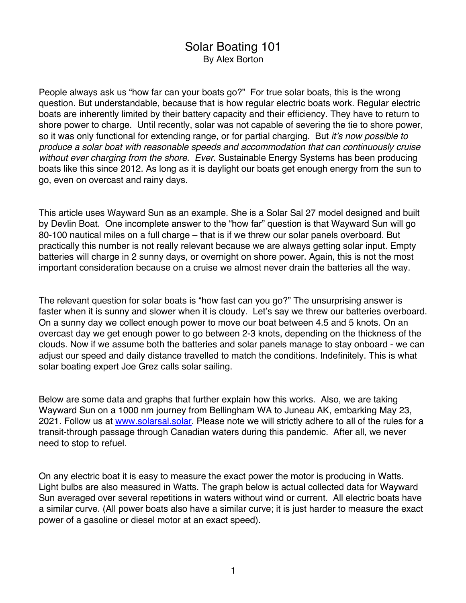## Solar Boating 101 By Alex Borton

People always ask us "how far can your boats go?" For true solar boats, this is the wrong question. But understandable, because that is how regular electric boats work. Regular electric boats are inherently limited by their battery capacity and their efficiency. They have to return to shore power to charge. Until recently, solar was not capable of severing the tie to shore power, so it was only functional for extending range, or for partial charging. But *it's now possible to produce a solar boat with reasonable speeds and accommodation that can continuously cruise without ever charging from the shore. Ever.* Sustainable Energy Systems has been producing boats like this since 2012. As long as it is daylight our boats get enough energy from the sun to go, even on overcast and rainy days.

This article uses Wayward Sun as an example. She is a Solar Sal 27 model designed and built by Devlin Boat. One incomplete answer to the "how far" question is that Wayward Sun will go 80-100 nautical miles on a full charge – that is if we threw our solar panels overboard. But practically this number is not really relevant because we are always getting solar input. Empty batteries will charge in 2 sunny days, or overnight on shore power. Again, this is not the most important consideration because on a cruise we almost never drain the batteries all the way.

The relevant question for solar boats is "how fast can you go?" The unsurprising answer is faster when it is sunny and slower when it is cloudy. Let's say we threw our batteries overboard. On a sunny day we collect enough power to move our boat between 4.5 and 5 knots. On an overcast day we get enough power to go between 2-3 knots, depending on the thickness of the clouds. Now if we assume both the batteries and solar panels manage to stay onboard - we can adjust our speed and daily distance travelled to match the conditions. Indefinitely. This is what solar boating expert Joe Grez calls solar sailing.

Below are some data and graphs that further explain how this works. Also, we are taking Wayward Sun on a 1000 nm journey from Bellingham WA to Juneau AK, embarking May 23, 2021. Follow us at www.solarsal.solar. Please note we will strictly adhere to all of the rules for a transit-through passage through Canadian waters during this pandemic. After all, we never need to stop to refuel.

On any electric boat it is easy to measure the exact power the motor is producing in Watts. Light bulbs are also measured in Watts. The graph below is actual collected data for Wayward Sun averaged over several repetitions in waters without wind or current. All electric boats have a similar curve. (All power boats also have a similar curve; it is just harder to measure the exact power of a gasoline or diesel motor at an exact speed).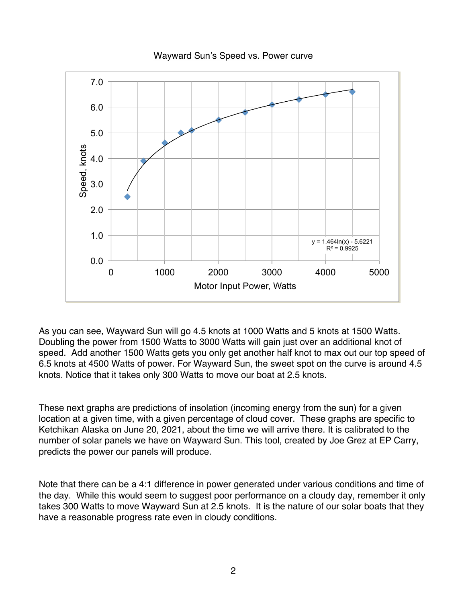Wayward Sun's Speed vs. Power curve



As you can see, Wayward Sun will go 4.5 knots at 1000 Watts and 5 knots at 1500 Watts. Doubling the power from 1500 Watts to 3000 Watts will gain just over an additional knot of speed. Add another 1500 Watts gets you only get another half knot to max out our top speed of 6.5 knots at 4500 Watts of power. For Wayward Sun, the sweet spot on the curve is around 4.5 knots. Notice that it takes only 300 Watts to move our boat at 2.5 knots.

These next graphs are predictions of insolation (incoming energy from the sun) for a given location at a given time, with a given percentage of cloud cover. These graphs are specific to Ketchikan Alaska on June 20, 2021, about the time we will arrive there. It is calibrated to the number of solar panels we have on Wayward Sun. This tool, created by Joe Grez at EP Carry, predicts the power our panels will produce.

Note that there can be a 4:1 difference in power generated under various conditions and time of the day. While this would seem to suggest poor performance on a cloudy day, remember it only takes 300 Watts to move Wayward Sun at 2.5 knots. It is the nature of our solar boats that they have a reasonable progress rate even in cloudy conditions.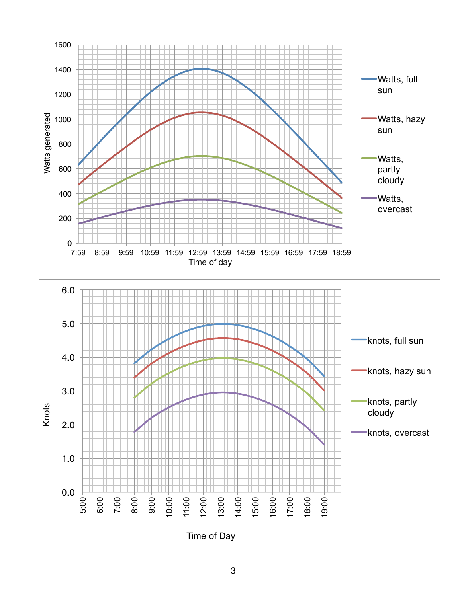